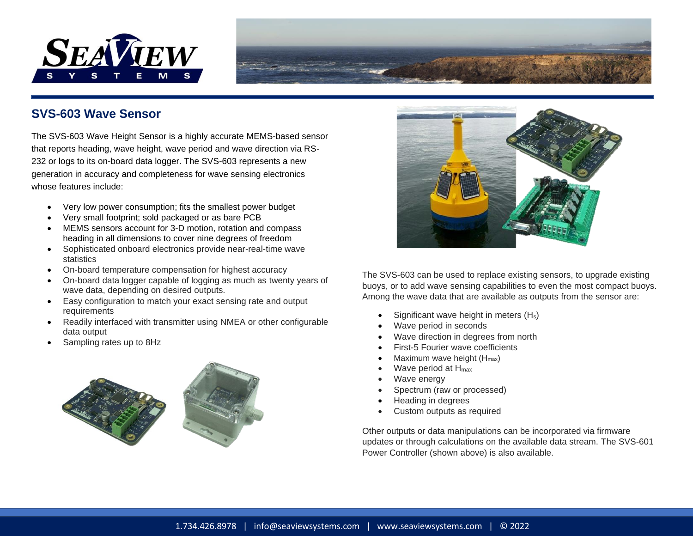



## **SVS-603 Wave Sensor**

The SVS-603 Wave Height Sensor is a highly accurate MEMS-based sensor that reports heading, wave height, wave period and wave direction via RS-232 or logs to its on-board data logger. The SVS-603 represents a new generation in accuracy and completeness for wave sensing electronics whose features include:

- Very low power consumption; fits the smallest power budget
- Very small footprint; sold packaged or as bare PCB
- MEMS sensors account for 3-D motion, rotation and compass heading in all dimensions to cover nine degrees of freedom
- Sophisticated onboard electronics provide near-real-time wave statistics
- On-board temperature compensation for highest accuracy
- On-board data logger capable of logging as much as twenty years of wave data, depending on desired outputs.
- Easy configuration to match your exact sensing rate and output requirements
- Readily interfaced with transmitter using NMEA or other configurable data output
- Sampling rates up to 8Hz





The SVS-603 can be used to replace existing sensors, to upgrade existing buoys, or to add wave sensing capabilities to even the most compact buoys. Among the wave data that are available as outputs from the sensor are:

- Significant wave height in meters (H<sub>s</sub>)
- Wave period in seconds
- Wave direction in degrees from north
- First-5 Fourier wave coefficients
- Maximum wave height (H<sub>max</sub>)
- Wave period at H<sub>max</sub>
- Wave energy
- Spectrum (raw or processed)
- Heading in degrees
- Custom outputs as required

Other outputs or data manipulations can be incorporated via firmware updates or through calculations on the available data stream. The SVS-601 Power Controller (shown above) is also available.